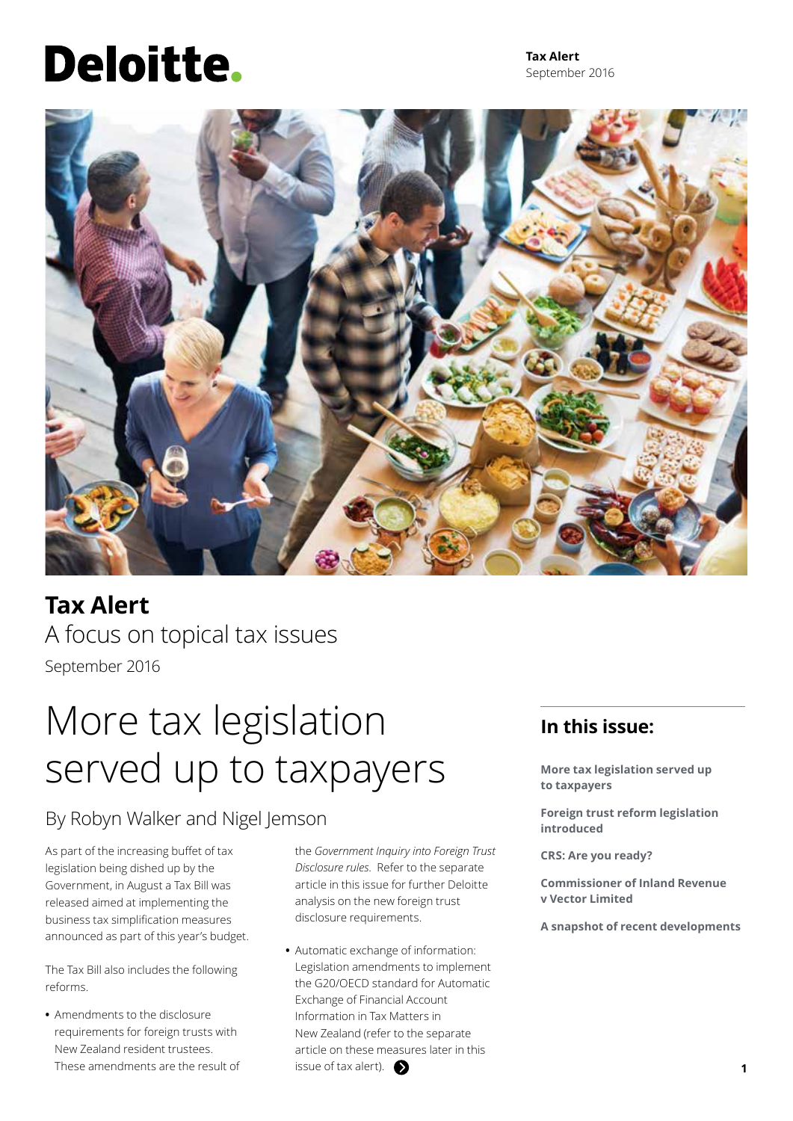# **Deloitte.**

**Tax Alert** September 2016



**Tax Alert** A focus on topical tax issues September 2016

## More tax legislation served up to taxpayers

### By Robyn Walker and Nigel Jemson

As part of the increasing buffet of tax legislation being dished up by the Government, in August a Tax Bill was released aimed at implementing the business tax simplification measures announced as part of this year's budget.

The Tax Bill also includes the following reforms.

**•** Amendments to the disclosure requirements for foreign trusts with New Zealand resident trustees. These amendments are the result of the *Government Inquiry into Foreign Trust Disclosure rules*. Refer to the separate article in this issue for further Deloitte analysis on the new foreign trust disclosure requirements.

**•** Automatic exchange of information: Legislation amendments to implement the G20/OECD standard for Automatic Exchange of Financial Account Information in Tax Matters in New Zealand (refer to the separate article on these measures later in this issue of tax alert).  $\bullet$ 

### **In this issue:**

**More tax legislation served up to taxpayers**

**Foreign trust reform legislation introduced**

**CRS: Are you ready?**

**Commissioner of Inland Revenue v Vector Limited**

**A snapshot of recent developments**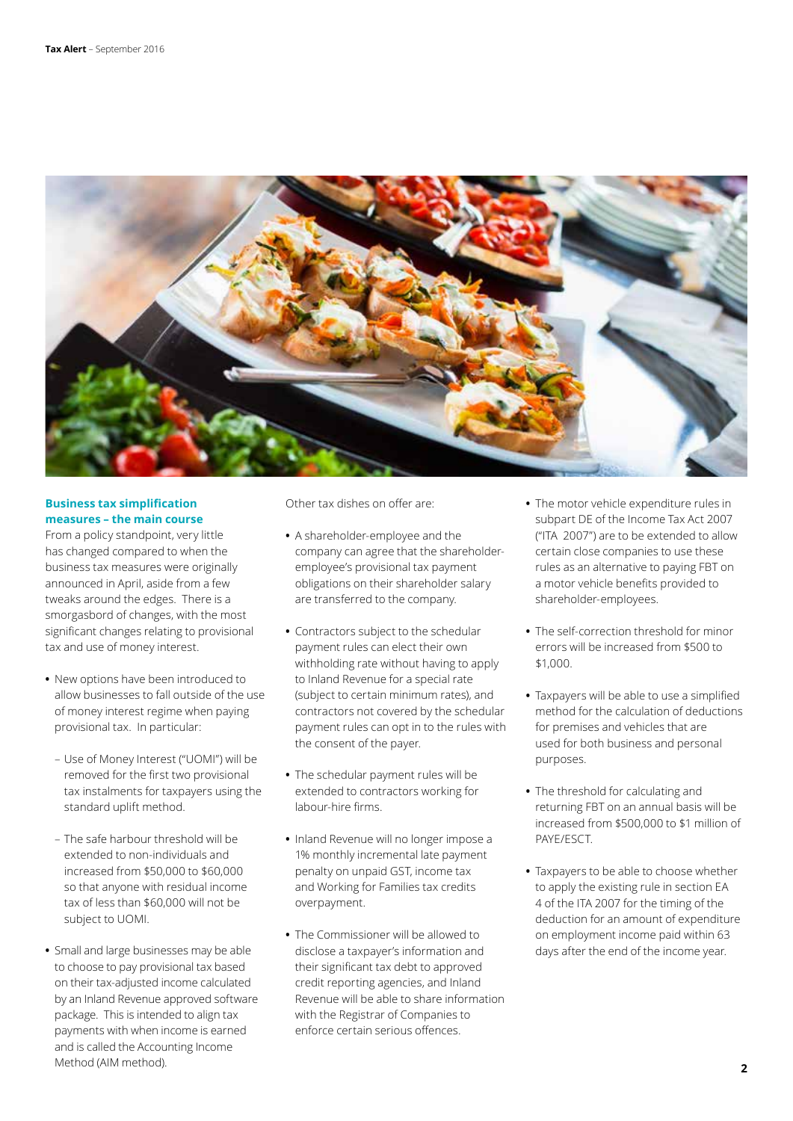

### **Business tax simplification measures – the main course**

From a policy standpoint, very little has changed compared to when the business tax measures were originally announced in April, aside from a few tweaks around the edges. There is a smorgasbord of changes, with the most significant changes relating to provisional tax and use of money interest.

- **•** New options have been introduced to allow businesses to fall outside of the use of money interest regime when paying provisional tax. In particular:
	- Use of Money Interest ("UOMI") will be removed for the first two provisional tax instalments for taxpayers using the standard uplift method.
	- The safe harbour threshold will be extended to non-individuals and increased from \$50,000 to \$60,000 so that anyone with residual income tax of less than \$60,000 will not be subject to UOMI.
- **•** Small and large businesses may be able to choose to pay provisional tax based on their tax-adjusted income calculated by an Inland Revenue approved software package. This is intended to align tax payments with when income is earned and is called the Accounting Income Method (AIM method).

Other tax dishes on offer are:

- **•** A shareholder-employee and the company can agree that the shareholderemployee's provisional tax payment obligations on their shareholder salary are transferred to the company.
- **•** Contractors subject to the schedular payment rules can elect their own withholding rate without having to apply to Inland Revenue for a special rate (subject to certain minimum rates), and contractors not covered by the schedular payment rules can opt in to the rules with the consent of the payer.
- **•** The schedular payment rules will be extended to contractors working for labour-hire firms.
- **•** Inland Revenue will no longer impose a 1% monthly incremental late payment penalty on unpaid GST, income tax and Working for Families tax credits overpayment.
- **•** The Commissioner will be allowed to disclose a taxpayer's information and their significant tax debt to approved credit reporting agencies, and Inland Revenue will be able to share information with the Registrar of Companies to enforce certain serious offences.
- **•** The motor vehicle expenditure rules in subpart DE of the Income Tax Act 2007 ("ITA 2007") are to be extended to allow certain close companies to use these rules as an alternative to paying FBT on a motor vehicle benefits provided to shareholder-employees.
- **•** The self-correction threshold for minor errors will be increased from \$500 to \$1,000.
- **•** Taxpayers will be able to use a simplified method for the calculation of deductions for premises and vehicles that are used for both business and personal purposes.
- **•** The threshold for calculating and returning FBT on an annual basis will be increased from \$500,000 to \$1 million of PAYE/ESCT.
- **•** Taxpayers to be able to choose whether to apply the existing rule in section EA 4 of the ITA 2007 for the timing of the deduction for an amount of expenditure on employment income paid within 63 days after the end of the income year.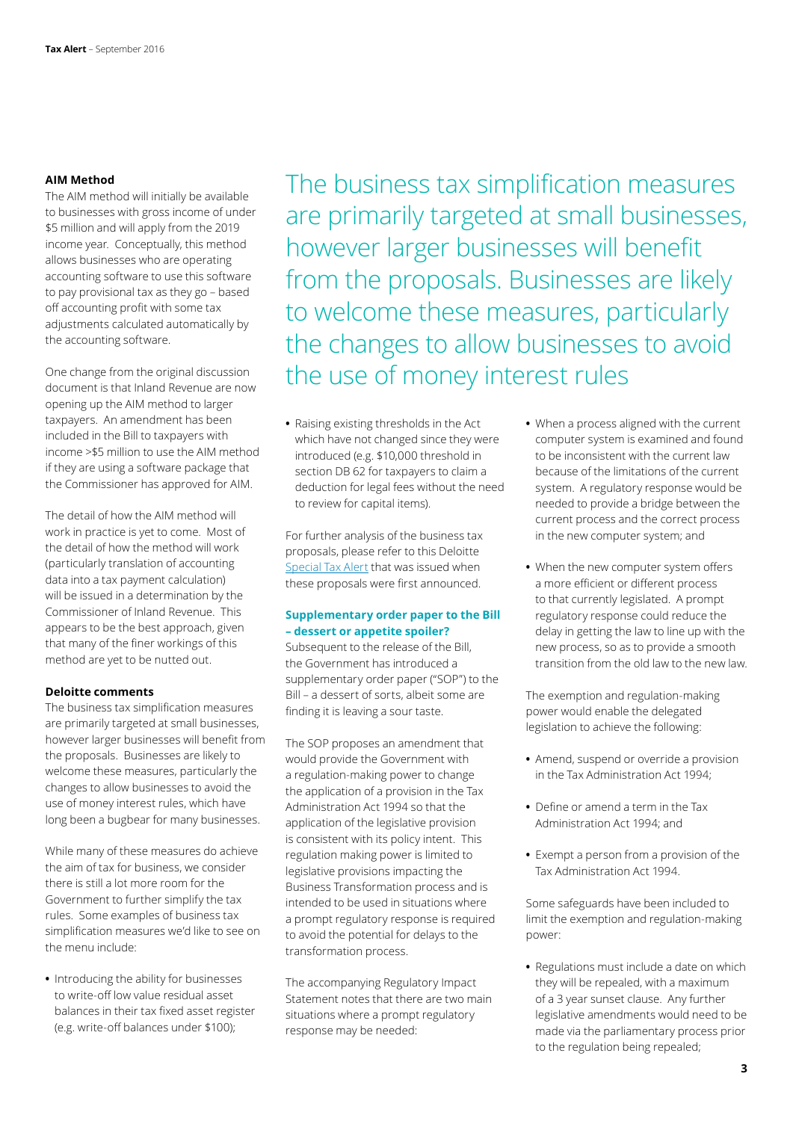### **AIM Method**

The AIM method will initially be available to businesses with gross income of under \$5 million and will apply from the 2019 income year. Conceptually, this method allows businesses who are operating accounting software to use this software to pay provisional tax as they go – based off accounting profit with some tax adjustments calculated automatically by the accounting software.

One change from the original discussion document is that Inland Revenue are now opening up the AIM method to larger taxpayers. An amendment has been included in the Bill to taxpayers with income >\$5 million to use the AIM method if they are using a software package that the Commissioner has approved for AIM.

The detail of how the AIM method will work in practice is yet to come. Most of the detail of how the method will work (particularly translation of accounting data into a tax payment calculation) will be issued in a determination by the Commissioner of Inland Revenue. This appears to be the best approach, given that many of the finer workings of this method are yet to be nutted out.

### **Deloitte comments**

The business tax simplification measures are primarily targeted at small businesses, however larger businesses will benefit from the proposals. Businesses are likely to welcome these measures, particularly the changes to allow businesses to avoid the use of money interest rules, which have long been a bugbear for many businesses.

While many of these measures do achieve the aim of tax for business, we consider there is still a lot more room for the Government to further simplify the tax rules. Some examples of business tax simplification measures we'd like to see on the menu include:

**•** Introducing the ability for businesses to write-off low value residual asset balances in their tax fixed asset register (e.g. write-off balances under \$100);

The business tax simplification measures are primarily targeted at small businesses, however larger businesses will benefit from the proposals. Businesses are likely to welcome these measures, particularly the changes to allow businesses to avoid the use of money interest rules

**•** Raising existing thresholds in the Act which have not changed since they were introduced (e.g. \$10,000 threshold in section DB 62 for taxpayers to claim a deduction for legal fees without the need to review for capital items).

For further analysis of the business tax proposals, please refer to this Deloitte Special Tax Alert that was issued when these proposals were first announced.

### **Supplementary order paper to the Bill – dessert or appetite spoiler?**

Subsequent to the release of the Bill, the Government has introduced a supplementary order paper ("SOP") to the Bill – a dessert of sorts, albeit some are finding it is leaving a sour taste.

The SOP proposes an amendment that would provide the Government with a regulation-making power to change the application of a provision in the Tax Administration Act 1994 so that the application of the legislative provision is consistent with its policy intent. This regulation making power is limited to legislative provisions impacting the Business Transformation process and is intended to be used in situations where a prompt regulatory response is required to avoid the potential for delays to the transformation process.

The accompanying Regulatory Impact Statement notes that there are two main situations where a prompt regulatory response may be needed:

- **•** When a process aligned with the current computer system is examined and found to be inconsistent with the current law because of the limitations of the current system. A regulatory response would be needed to provide a bridge between the current process and the correct process in the new computer system; and
- **•** When the new computer system offers a more efficient or different process to that currently legislated. A prompt regulatory response could reduce the delay in getting the law to line up with the new process, so as to provide a smooth transition from the old law to the new law.

The exemption and regulation-making power would enable the delegated legislation to achieve the following:

- **•** Amend, suspend or override a provision in the Tax Administration Act 1994;
- **•** Define or amend a term in the Tax Administration Act 1994; and
- **•** Exempt a person from a provision of the Tax Administration Act 1994.

Some safeguards have been included to limit the exemption and regulation-making power:

**•** Regulations must include a date on which they will be repealed, with a maximum of a 3 year sunset clause. Any further legislative amendments would need to be made via the parliamentary process prior to the regulation being repealed;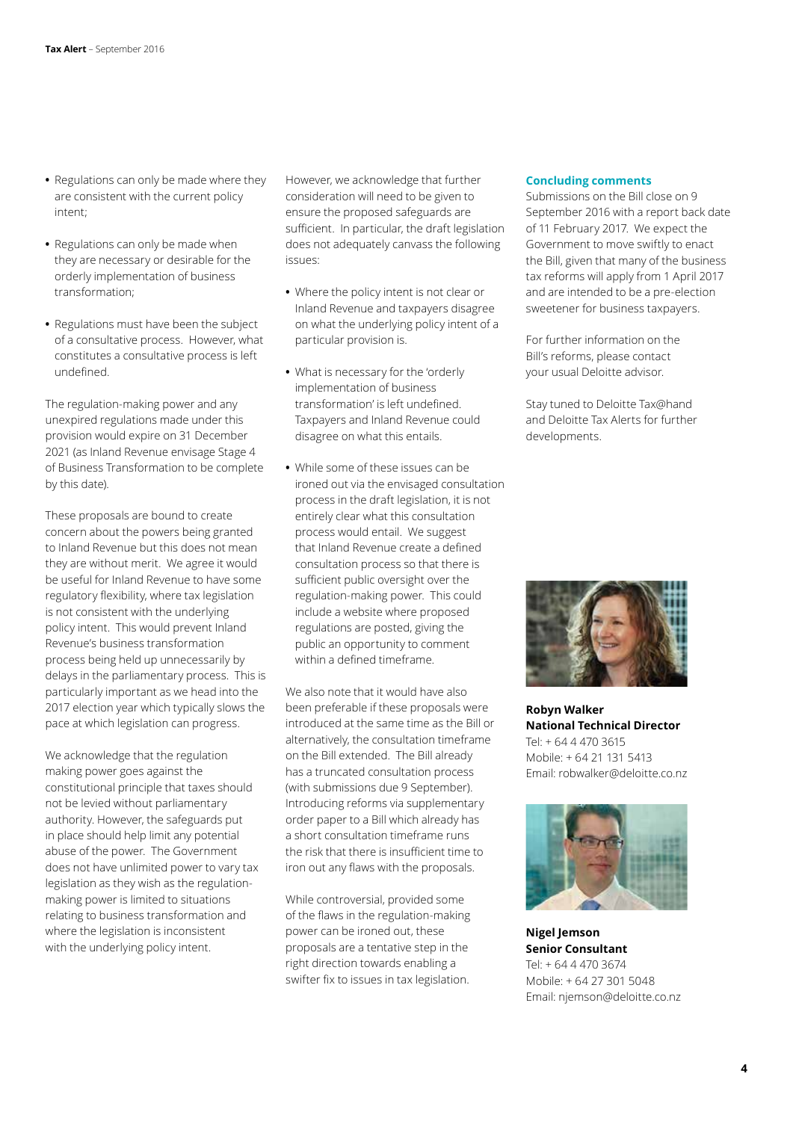- **•** Regulations can only be made where they are consistent with the current policy intent;
- **•** Regulations can only be made when they are necessary or desirable for the orderly implementation of business transformation;
- **•** Regulations must have been the subject of a consultative process. However, what constitutes a consultative process is left undefined.

The regulation-making power and any unexpired regulations made under this provision would expire on 31 December 2021 (as Inland Revenue envisage Stage 4 of Business Transformation to be complete by this date).

These proposals are bound to create concern about the powers being granted to Inland Revenue but this does not mean they are without merit. We agree it would be useful for Inland Revenue to have some regulatory flexibility, where tax legislation is not consistent with the underlying policy intent. This would prevent Inland Revenue's business transformation process being held up unnecessarily by delays in the parliamentary process. This is particularly important as we head into the 2017 election year which typically slows the pace at which legislation can progress.

We acknowledge that the regulation making power goes against the constitutional principle that taxes should not be levied without parliamentary authority. However, the safeguards put in place should help limit any potential abuse of the power. The Government does not have unlimited power to vary tax legislation as they wish as the regulationmaking power is limited to situations relating to business transformation and where the legislation is inconsistent with the underlying policy intent.

However, we acknowledge that further consideration will need to be given to ensure the proposed safeguards are sufficient. In particular, the draft legislation does not adequately canvass the following issues:

- **•** Where the policy intent is not clear or Inland Revenue and taxpayers disagree on what the underlying policy intent of a particular provision is.
- **•** What is necessary for the 'orderly implementation of business transformation' is left undefined. Taxpayers and Inland Revenue could disagree on what this entails.
- **•** While some of these issues can be ironed out via the envisaged consultation process in the draft legislation, it is not entirely clear what this consultation process would entail. We suggest that Inland Revenue create a defined consultation process so that there is sufficient public oversight over the regulation-making power. This could include a website where proposed regulations are posted, giving the public an opportunity to comment within a defined timeframe.

We also note that it would have also been preferable if these proposals were introduced at the same time as the Bill or alternatively, the consultation timeframe on the Bill extended. The Bill already has a truncated consultation process (with submissions due 9 September). Introducing reforms via supplementary order paper to a Bill which already has a short consultation timeframe runs the risk that there is insufficient time to iron out any flaws with the proposals.

While controversial, provided some of the flaws in the regulation-making power can be ironed out, these proposals are a tentative step in the right direction towards enabling a swifter fix to issues in tax legislation.

### **Concluding comments**

Submissions on the Bill close on 9 September 2016 with a report back date of 11 February 2017. We expect the Government to move swiftly to enact the Bill, given that many of the business tax reforms will apply from 1 April 2017 and are intended to be a pre-election sweetener for business taxpayers.

For further information on the Bill's reforms, please contact your usual Deloitte advisor.

Stay tuned to Deloitte Tax@hand and Deloitte Tax Alerts for further developments.



**Robyn Walker National Technical Director** Tel: + 64 4 470 3615 Mobile: + 64 21 131 5413 Email: robwalker@deloitte.co.nz



**Nigel Jemson Senior Consultant** Tel: + 64 4 470 3674 Mobile: + 64 27 301 5048 Email: njemson@deloitte.co.nz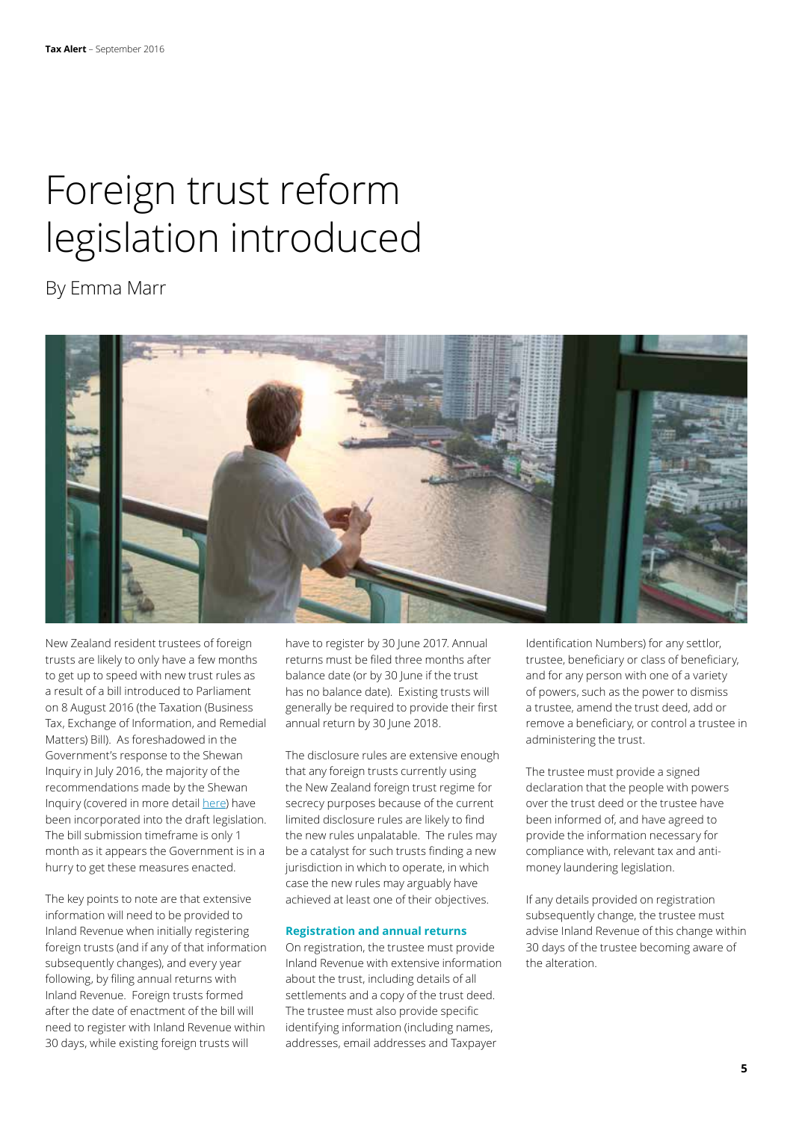### Foreign trust reform legislation introduced

By Emma Marr



New Zealand resident trustees of foreign trusts are likely to only have a few months to get up to speed with new trust rules as a result of a bill introduced to Parliament on 8 August 2016 (the Taxation (Business Tax, Exchange of Information, and Remedial Matters) Bill). As foreshadowed in the Government's response to the Shewan Inquiry in July 2016, the majority of the recommendations made by the Shewan Inquiry (covered in more detail here) have been incorporated into the draft legislation. The bill submission timeframe is only 1 month as it appears the Government is in a hurry to get these measures enacted.

The key points to note are that extensive information will need to be provided to Inland Revenue when initially registering foreign trusts (and if any of that information subsequently changes), and every year following, by filing annual returns with Inland Revenue. Foreign trusts formed after the date of enactment of the bill will need to register with Inland Revenue within 30 days, while existing foreign trusts will

have to register by 30 June 2017. Annual returns must be filed three months after balance date (or by 30 June if the trust has no balance date). Existing trusts will generally be required to provide their first annual return by 30 June 2018.

The disclosure rules are extensive enough that any foreign trusts currently using the New Zealand foreign trust regime for secrecy purposes because of the current limited disclosure rules are likely to find the new rules unpalatable. The rules may be a catalyst for such trusts finding a new jurisdiction in which to operate, in which case the new rules may arguably have achieved at least one of their objectives.

### **Registration and annual returns**

On registration, the trustee must provide Inland Revenue with extensive information about the trust, including details of all settlements and a copy of the trust deed. The trustee must also provide specific identifying information (including names, addresses, email addresses and Taxpayer

Identification Numbers) for any settlor, trustee, beneficiary or class of beneficiary, and for any person with one of a variety of powers, such as the power to dismiss a trustee, amend the trust deed, add or remove a beneficiary, or control a trustee in administering the trust.

The trustee must provide a signed declaration that the people with powers over the trust deed or the trustee have been informed of, and have agreed to provide the information necessary for compliance with, relevant tax and antimoney laundering legislation.

If any details provided on registration subsequently change, the trustee must advise Inland Revenue of this change within 30 days of the trustee becoming aware of the alteration.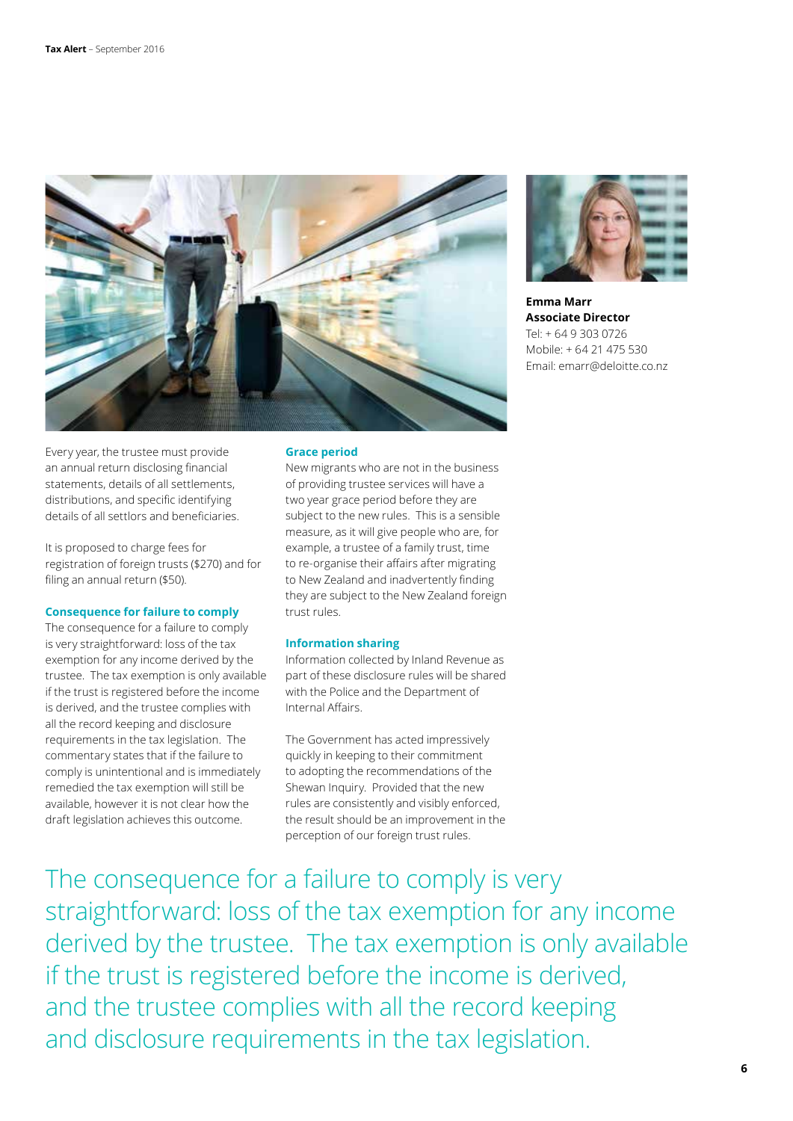



**Emma Marr Associate Director** Tel: + 64 9 303 0726 Mobile: + 64 21 475 530 Email: emarr@deloitte.co.nz

Every year, the trustee must provide an annual return disclosing financial statements, details of all settlements, distributions, and specific identifying details of all settlors and beneficiaries.

It is proposed to charge fees for registration of foreign trusts (\$270) and for filing an annual return (\$50).

#### **Consequence for failure to comply**

The consequence for a failure to comply is very straightforward: loss of the tax exemption for any income derived by the trustee. The tax exemption is only available if the trust is registered before the income is derived, and the trustee complies with all the record keeping and disclosure requirements in the tax legislation. The commentary states that if the failure to comply is unintentional and is immediately remedied the tax exemption will still be available, however it is not clear how the draft legislation achieves this outcome.

### **Grace period**

New migrants who are not in the business of providing trustee services will have a two year grace period before they are subject to the new rules. This is a sensible measure, as it will give people who are, for example, a trustee of a family trust, time to re-organise their affairs after migrating to New Zealand and inadvertently finding they are subject to the New Zealand foreign trust rules.

### **Information sharing**

Information collected by Inland Revenue as part of these disclosure rules will be shared with the Police and the Department of Internal Affairs.

The Government has acted impressively quickly in keeping to their commitment to adopting the recommendations of the Shewan Inquiry. Provided that the new rules are consistently and visibly enforced, the result should be an improvement in the perception of our foreign trust rules.

straightforward: loss of the tax exemption for any income derived by the trustee. The tax exemption is only available if the trust is registered before the income is derived, and the trustee complies with all the record keeping and disclosure requirements in the tax legislation.

The consequence for a failure to comply is very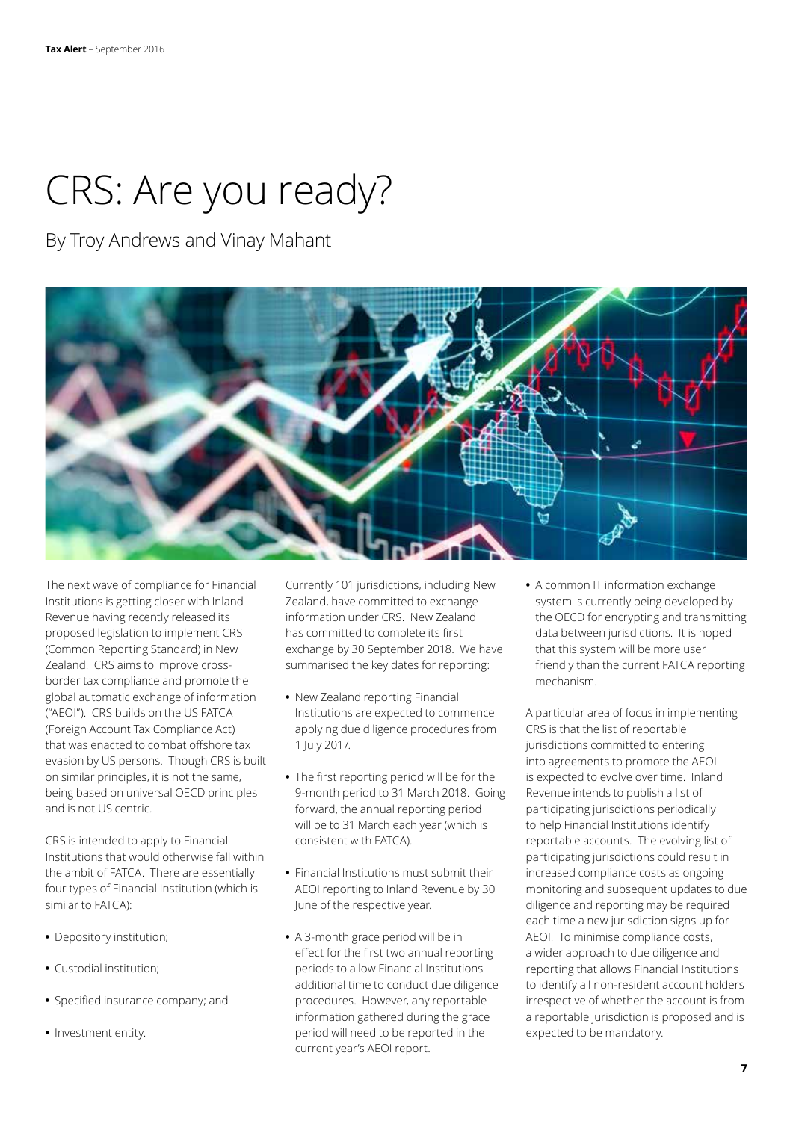## CRS: Are you ready?

By Troy Andrews and Vinay Mahant



The next wave of compliance for Financial Institutions is getting closer with Inland Revenue having recently released its proposed legislation to implement CRS (Common Reporting Standard) in New Zealand. CRS aims to improve crossborder tax compliance and promote the global automatic exchange of information ("AEOI"). CRS builds on the US FATCA (Foreign Account Tax Compliance Act) that was enacted to combat offshore tax evasion by US persons. Though CRS is built on similar principles, it is not the same, being based on universal OECD principles and is not US centric.

CRS is intended to apply to Financial Institutions that would otherwise fall within the ambit of FATCA. There are essentially four types of Financial Institution (which is similar to FATCA):

- **•** Depository institution;
- **•** Custodial institution;
- **•** Specified insurance company; and
- **•** Investment entity.

Currently 101 jurisdictions, including New Zealand, have committed to exchange information under CRS. New Zealand has committed to complete its first exchange by 30 September 2018. We have summarised the key dates for reporting:

- **•** New Zealand reporting Financial Institutions are expected to commence applying due diligence procedures from 1 July 2017.
- **•** The first reporting period will be for the 9-month period to 31 March 2018. Going forward, the annual reporting period will be to 31 March each year (which is consistent with FATCA).
- **•** Financial Institutions must submit their AEOI reporting to Inland Revenue by 30 June of the respective year.
- **•** A 3-month grace period will be in effect for the first two annual reporting periods to allow Financial Institutions additional time to conduct due diligence procedures. However, any reportable information gathered during the grace period will need to be reported in the current year's AEOI report.

**•** A common IT information exchange system is currently being developed by the OECD for encrypting and transmitting data between jurisdictions. It is hoped that this system will be more user friendly than the current FATCA reporting mechanism.

A particular area of focus in implementing CRS is that the list of reportable jurisdictions committed to entering into agreements to promote the AEOI is expected to evolve over time. Inland Revenue intends to publish a list of participating jurisdictions periodically to help Financial Institutions identify reportable accounts. The evolving list of participating jurisdictions could result in increased compliance costs as ongoing monitoring and subsequent updates to due diligence and reporting may be required each time a new jurisdiction signs up for AEOI. To minimise compliance costs, a wider approach to due diligence and reporting that allows Financial Institutions to identify all non-resident account holders irrespective of whether the account is from a reportable jurisdiction is proposed and is expected to be mandatory.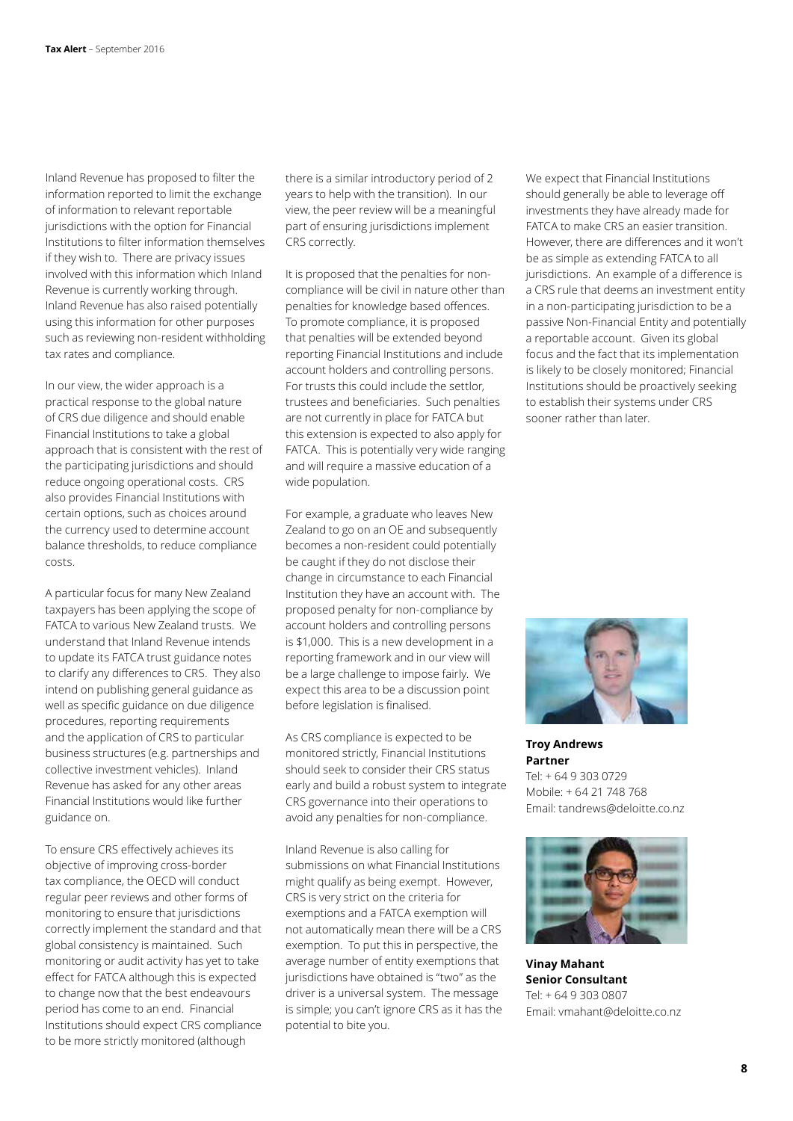Inland Revenue has proposed to filter the information reported to limit the exchange of information to relevant reportable jurisdictions with the option for Financial Institutions to filter information themselves if they wish to. There are privacy issues involved with this information which Inland Revenue is currently working through. Inland Revenue has also raised potentially using this information for other purposes such as reviewing non-resident withholding tax rates and compliance.

In our view, the wider approach is a practical response to the global nature of CRS due diligence and should enable Financial Institutions to take a global approach that is consistent with the rest of the participating jurisdictions and should reduce ongoing operational costs. CRS also provides Financial Institutions with certain options, such as choices around the currency used to determine account balance thresholds, to reduce compliance costs.

A particular focus for many New Zealand taxpayers has been applying the scope of FATCA to various New Zealand trusts. We understand that Inland Revenue intends to update its FATCA trust guidance notes to clarify any differences to CRS. They also intend on publishing general guidance as well as specific guidance on due diligence procedures, reporting requirements and the application of CRS to particular business structures (e.g. partnerships and collective investment vehicles). Inland Revenue has asked for any other areas Financial Institutions would like further guidance on.

To ensure CRS effectively achieves its objective of improving cross-border tax compliance, the OECD will conduct regular peer reviews and other forms of monitoring to ensure that jurisdictions correctly implement the standard and that global consistency is maintained. Such monitoring or audit activity has yet to take effect for FATCA although this is expected to change now that the best endeavours period has come to an end. Financial Institutions should expect CRS compliance to be more strictly monitored (although

there is a similar introductory period of 2 years to help with the transition). In our view, the peer review will be a meaningful part of ensuring jurisdictions implement CRS correctly.

It is proposed that the penalties for noncompliance will be civil in nature other than penalties for knowledge based offences. To promote compliance, it is proposed that penalties will be extended beyond reporting Financial Institutions and include account holders and controlling persons. For trusts this could include the settlor, trustees and beneficiaries. Such penalties are not currently in place for FATCA but this extension is expected to also apply for FATCA. This is potentially very wide ranging and will require a massive education of a wide population.

For example, a graduate who leaves New Zealand to go on an OE and subsequently becomes a non-resident could potentially be caught if they do not disclose their change in circumstance to each Financial Institution they have an account with. The proposed penalty for non-compliance by account holders and controlling persons is \$1,000. This is a new development in a reporting framework and in our view will be a large challenge to impose fairly. We expect this area to be a discussion point before legislation is finalised.

As CRS compliance is expected to be monitored strictly, Financial Institutions should seek to consider their CRS status early and build a robust system to integrate CRS governance into their operations to avoid any penalties for non-compliance.

Inland Revenue is also calling for submissions on what Financial Institutions might qualify as being exempt. However, CRS is very strict on the criteria for exemptions and a FATCA exemption will not automatically mean there will be a CRS exemption. To put this in perspective, the average number of entity exemptions that jurisdictions have obtained is "two" as the driver is a universal system. The message is simple; you can't ignore CRS as it has the potential to bite you.

We expect that Financial Institutions should generally be able to leverage off investments they have already made for FATCA to make CRS an easier transition. However, there are differences and it won't be as simple as extending FATCA to all jurisdictions. An example of a difference is a CRS rule that deems an investment entity in a non-participating jurisdiction to be a passive Non-Financial Entity and potentially a reportable account. Given its global focus and the fact that its implementation is likely to be closely monitored; Financial Institutions should be proactively seeking to establish their systems under CRS sooner rather than later.



**Troy Andrews Partner** Tel: + 64 9 303 0729 Mobile: + 64 21 748 768 Email: tandrews@deloitte.co.nz



**Vinay Mahant Senior Consultant** Tel: + 64 9 303 0807 Email: vmahant@deloitte.co.nz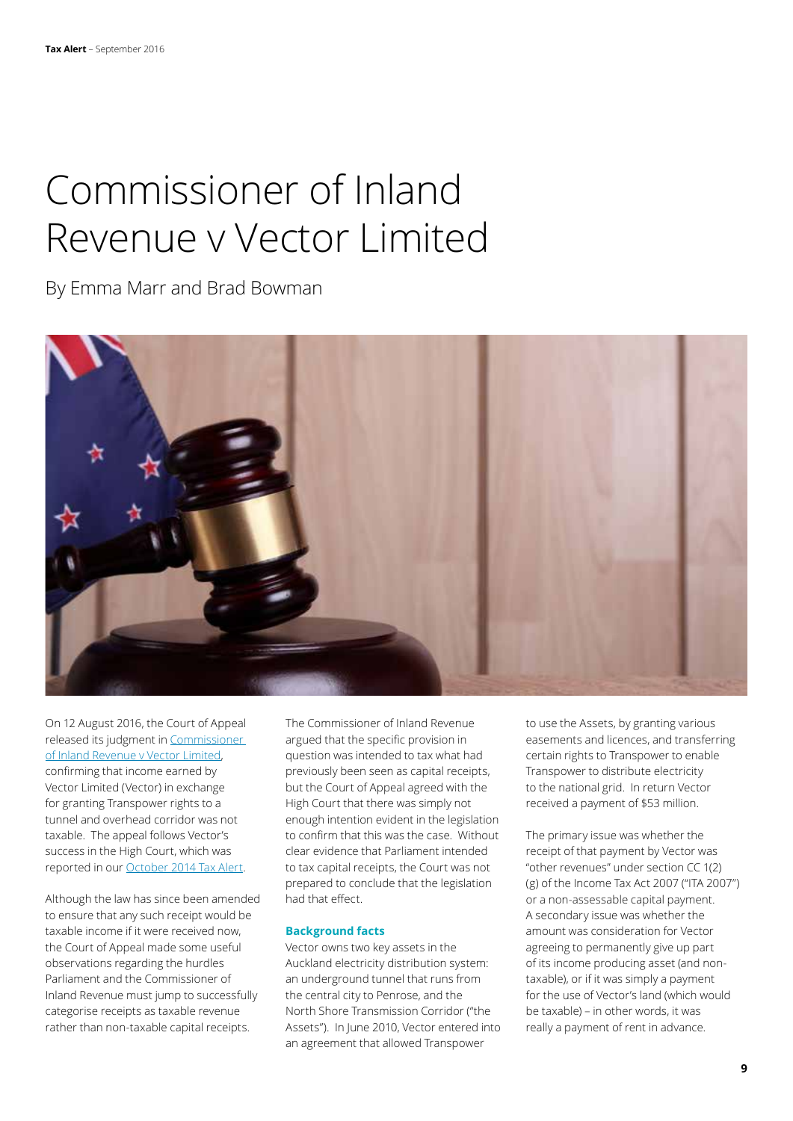### Commissioner of Inland Revenue v Vector Limited

By Emma Marr and Brad Bowman



On 12 August 2016, the Court of Appeal released its judgment in Commissioner of Inland Revenue v Vector Limited, confirming that income earned by Vector Limited (Vector) in exchange for granting Transpower rights to a tunnel and overhead corridor was not taxable. The appeal follows Vector's success in the High Court, which was reported in our October 2014 Tax Alert.

Although the law has since been amended to ensure that any such receipt would be taxable income if it were received now, the Court of Appeal made some useful observations regarding the hurdles Parliament and the Commissioner of Inland Revenue must jump to successfully categorise receipts as taxable revenue rather than non-taxable capital receipts.

The Commissioner of Inland Revenue argued that the specific provision in question was intended to tax what had previously been seen as capital receipts, but the Court of Appeal agreed with the High Court that there was simply not enough intention evident in the legislation to confirm that this was the case. Without clear evidence that Parliament intended to tax capital receipts, the Court was not prepared to conclude that the legislation had that effect.

### **Background facts**

Vector owns two key assets in the Auckland electricity distribution system: an underground tunnel that runs from the central city to Penrose, and the North Shore Transmission Corridor ("the Assets"). In June 2010, Vector entered into an agreement that allowed Transpower

to use the Assets, by granting various easements and licences, and transferring certain rights to Transpower to enable Transpower to distribute electricity to the national grid. In return Vector received a payment of \$53 million.

The primary issue was whether the receipt of that payment by Vector was "other revenues" under section CC 1(2) (g) of the Income Tax Act 2007 ("ITA 2007") or a non-assessable capital payment. A secondary issue was whether the amount was consideration for Vector agreeing to permanently give up part of its income producing asset (and nontaxable), or if it was simply a payment for the use of Vector's land (which would be taxable) – in other words, it was really a payment of rent in advance.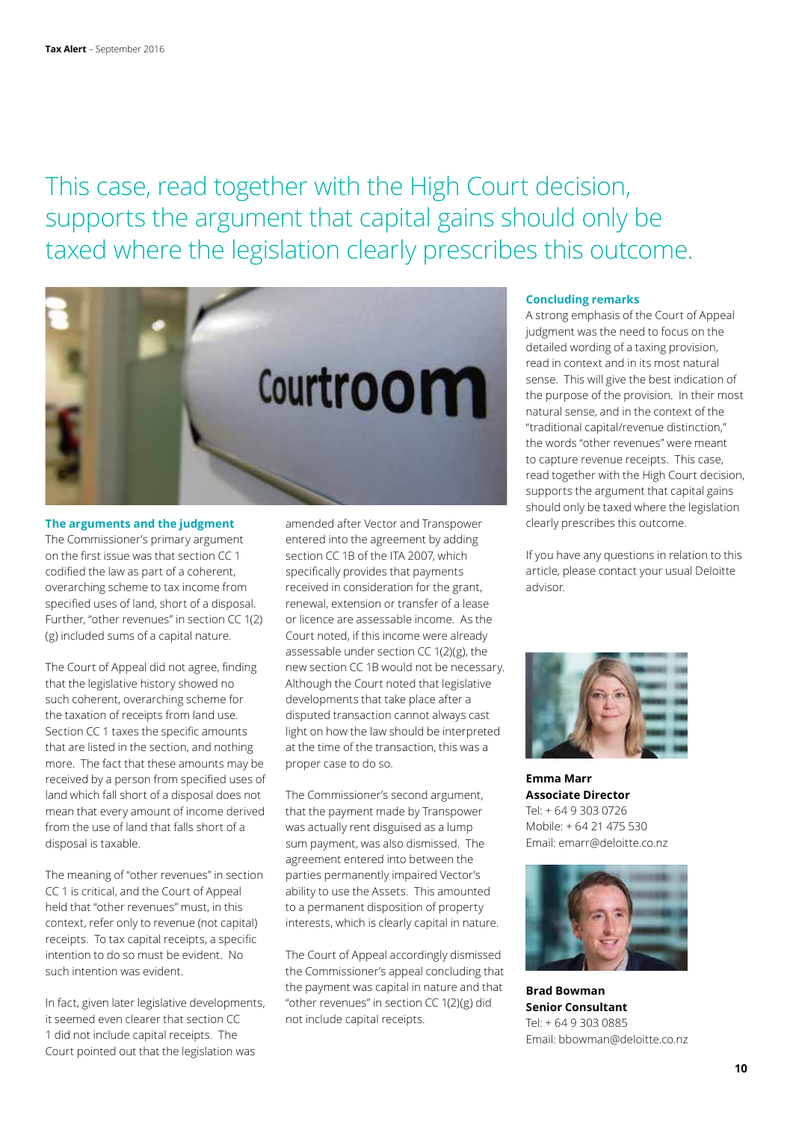This case, read together with the High Court decision, supports the argument that capital gains should only be taxed where the legislation clearly prescribes this outcome.



#### **The arguments and the judgment**

The Commissioner's primary argument on the first issue was that section CC 1 codified the law as part of a coherent, overarching scheme to tax income from specified uses of land, short of a disposal. Further, "other revenues" in section CC 1(2) (g) included sums of a capital nature.

The Court of Appeal did not agree, finding that the legislative history showed no such coherent, overarching scheme for the taxation of receipts from land use. Section CC 1 taxes the specific amounts that are listed in the section, and nothing more. The fact that these amounts may be received by a person from specified uses of land which fall short of a disposal does not mean that every amount of income derived from the use of land that falls short of a disposal is taxable.

The meaning of "other revenues" in section CC 1 is critical, and the Court of Appeal held that "other revenues" must, in this context, refer only to revenue (not capital) receipts. To tax capital receipts, a specific intention to do so must be evident. No such intention was evident.

In fact, given later legislative developments, it seemed even clearer that section CC 1 did not include capital receipts. The Court pointed out that the legislation was

amended after Vector and Transpower entered into the agreement by adding section CC 1B of the ITA 2007, which specifically provides that payments received in consideration for the grant, renewal, extension or transfer of a lease or licence are assessable income. As the Court noted, if this income were already assessable under section CC 1(2)(g), the new section CC 1B would not be necessary. Although the Court noted that legislative developments that take place after a disputed transaction cannot always cast light on how the law should be interpreted at the time of the transaction, this was a proper case to do so.

The Commissioner's second argument, that the payment made by Transpower was actually rent disguised as a lump sum payment, was also dismissed. The agreement entered into between the parties permanently impaired Vector's ability to use the Assets. This amounted to a permanent disposition of property interests, which is clearly capital in nature.

The Court of Appeal accordingly dismissed the Commissioner's appeal concluding that the payment was capital in nature and that "other revenues" in section CC 1(2)(g) did not include capital receipts.

### **Concluding remarks**

A strong emphasis of the Court of Appeal judgment was the need to focus on the detailed wording of a taxing provision, read in context and in its most natural sense. This will give the best indication of the purpose of the provision. In their most natural sense, and in the context of the "traditional capital/revenue distinction," the words "other revenues" were meant to capture revenue receipts. This case, read together with the High Court decision, supports the argument that capital gains should only be taxed where the legislation clearly prescribes this outcome.

If you have any questions in relation to this article, please contact your usual Deloitte advisor.



**Emma Marr Associate Director** Tel: + 64 9 303 0726 Mobile: + 64 21 475 530 Email: emarr@deloitte.co.nz



**Brad Bowman Senior Consultant** Tel: + 64 9 303 0885 Email: bbowman@deloitte.co.nz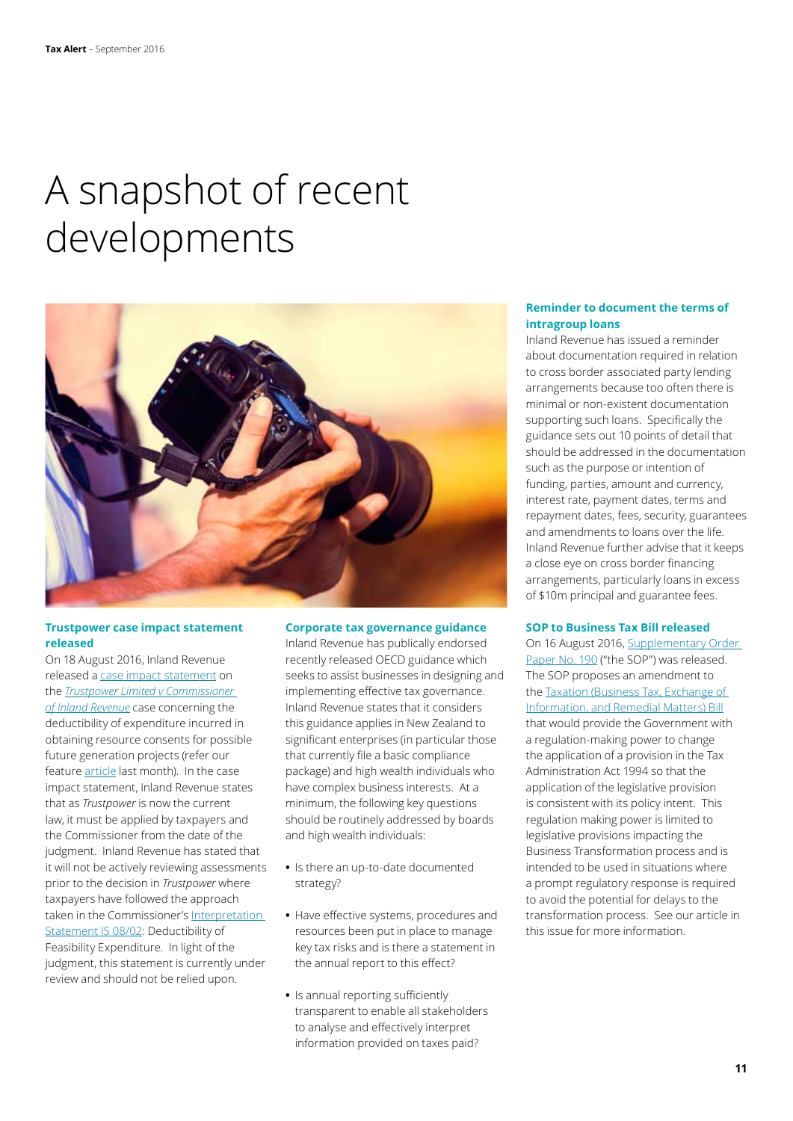### A snapshot of recent developments



### **Trustpower case impact statement released**

On 18 August 2016, Inland Revenue released a case impact statement on the *Trustpower Limited v Commissioner of Inland Revenue* case concerning the deductibility of expenditure incurred in obtaining resource consents for possible future generation projects (refer our feature article last month). In the case impact statement, Inland Revenue states that as *Trustpower* is now the current law, it must be applied by taxpayers and the Commissioner from the date of the judgment. Inland Revenue has stated that it will not be actively reviewing assessments prior to the decision in *Trustpower* where taxpayers have followed the approach taken in the Commissioner's Interpretation Statement IS 08/02: Deductibility of Feasibility Expenditure. In light of the judgment, this statement is currently under review and should not be relied upon.

#### **Corporate tax governance guidance**

Inland Revenue has publically endorsed recently released OECD guidance which seeks to assist businesses in designing and implementing effective tax governance. Inland Revenue states that it considers this guidance applies in New Zealand to significant enterprises (in particular those that currently file a basic compliance package) and high wealth individuals who have complex business interests. At a minimum, the following key questions should be routinely addressed by boards and high wealth individuals:

- **•** Is there an up-to-date documented strategy?
- **•** Have effective systems, procedures and resources been put in place to manage key tax risks and is there a statement in the annual report to this effect?
- **•** Is annual reporting sufficiently transparent to enable all stakeholders to analyse and effectively interpret information provided on taxes paid?

### **Reminder to document the terms of intragroup loans**

Inland Revenue has issued a reminder about documentation required in relation to cross border associated party lending arrangements because too often there is minimal or non-existent documentation supporting such loans. Specifically the guidance sets out 10 points of detail that should be addressed in the documentation such as the purpose or intention of funding, parties, amount and currency, interest rate, payment dates, terms and repayment dates, fees, security, guarantees and amendments to loans over the life. Inland Revenue further advise that it keeps a close eye on cross border financing arrangements, particularly loans in excess of \$10m principal and guarantee fees.

### **SOP to Business Tax Bill released**

On 16 August 2016, Supplementary Order Paper No. 190 ("the SOP") was released. The SOP proposes an amendment to the Taxation (Business Tax, Exchange of Information, and Remedial Matters) Bill that would provide the Government with a regulation-making power to change the application of a provision in the Tax Administration Act 1994 so that the application of the legislative provision is consistent with its policy intent. This regulation making power is limited to legislative provisions impacting the Business Transformation process and is intended to be used in situations where a prompt regulatory response is required to avoid the potential for delays to the transformation process. See our article in this issue for more information.